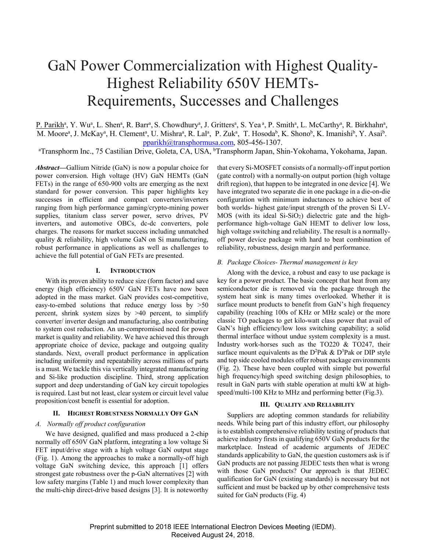# GaN Power Commercialization with Highest Quality-Highest Reliability 650V HEMTs-Requirements, Successes and Challenges

P. Parikh<sup>a</sup>, Y. Wu<sup>a</sup>, L. Shen<sup>a</sup>, R. Barr<sup>a</sup>, S. Chowdhury<sup>a</sup>, J. Gritters<sup>a</sup>, S. Yea<sup>a</sup>, P. Smith<sup>a</sup>, L. McCarthy<sup>a</sup>, R. Birkhahn<sup>a</sup>, M. Moore<sup>a</sup>, J. McKay<sup>a</sup>, H. Clement<sup>a</sup>, U. Mishra<sup>a</sup>, R. Lal<sup>a</sup>, P. Zuk<sup>a</sup>, T. Hosoda<sup>b</sup>, K. Shono<sup>b</sup>, K. Imanishi<sup>b</sup>, Y. Asai<sup>b</sup>.

pparikh@transphormusa.com, 805-456-1307.<br>Transphorm Inc., 75 Castilian Drive, Goleta, CA, USA, <sup>b</sup>Transphorm Japan, Shin-Yokohama, Yokohama, Japan.

*Abstract***—**Gallium Nitride (GaN) is now a popular choice for power conversion. High voltage (HV) GaN HEMTs (GaN FETs) in the range of 650-900 volts are emerging as the next standard for power conversion. This paper highlights key successes in efficient and compact converters/inverters ranging from high performance gaming/crypto-mining power supplies, titanium class server power, servo drives, PV inverters, and automotive OBCs, dc-dc converters, pole charges. The reasons for market success including unmatched quality & reliability, high volume GaN on Si manufacturing, robust performance in applications as well as challenges to achieve the full potential of GaN FETs are presented.

# **I. INTRODUCTION**

With its proven ability to reduce size (form factor) and save energy (high efficiency) 650V GaN FETs have now been adopted in the mass market. GaN provides cost-competitive, easy-to-embed solutions that reduce energy loss by >50 percent, shrink system sizes by >40 percent, to simplify converter/ inverter design and manufacturing, also contributing to system cost reduction. An un-compromised need for power market is quality and reliability. We have achieved this through appropriate choice of device, package and outgoing quality standards. Next, overall product performance in application including uniformity and repeatability across millions of parts is a must. We tackle this via vertically integrated manufacturing and Si-like production discipline. Third, strong application support and deep understanding of GaN key circuit topologies is required. Last but not least, clear system or circuit level value proposition/cost benefit is essential for adoption.

# **II. HIGHEST ROBUSTNESS NORMALLY OFF GAN**

# *A. Normally off product configuration*

We have designed, qualified and mass produced a 2-chip normally off 650V GaN platform, integrating a low voltage Si FET input/drive stage with a high voltage GaN output stage (Fig. 1). Among the approaches to make a normally-off high voltage GaN switching device, this approach [1] offers strongest gate robustness over the p-GaN alternatives [2] with low safety margins (Table 1) and much lower complexity than the multi-chip direct-drive based designs [3]. It is noteworthy

that every Si-MOSFET consists of a normally-off input portion (gate control) with a normally-on output portion (high voltage drift region), that happen to be integrated in one device [4]. We have integrated two separate die in one package in a die-on-die configuration with minimum inductances to achieve best of both worlds- highest gate/input strength of the proven Si LV- $MOS$  (with its ideal  $Si-SiO<sub>2</sub>$ ) dielectric gate and the highperformance high-voltage GaN HEMT to deliver low loss, high voltage switching and reliability. The result is a normallyoff power device package with hard to beat combination of reliability, robustness, design margin and performance.

### *B. Package Choices- Thermal management is key*

Along with the device, a robust and easy to use package is key for a power product. The basic concept that heat from any semiconductor die is removed via the package through the system heat sink is many times overlooked. Whether it is surface mount products to benefit from GaN's high frequency capability (reaching 100s of KHz or MHz scale) or the more classic TO packages to get kilo-watt class power that avail of GaN's high efficiency/low loss switching capability; a solid thermal interface without undue system complexity is a must. Industry work-horses such as the TO220 & TO247, their surface mount equivalents as the D<sup>2</sup>Pak & D<sup>3</sup>Pak or DIP style and top side cooled modules offer robust package environments (Fig. 2). These have been coupled with simple but powerful high frequency/high speed switching design philosophies, to result in GaN parts with stable operation at multi kW at highspeed/multi-100 KHz to MHz and performing better (Fig.3).

#### **III. QUALITY AND RELIABILITY**

Suppliers are adopting common standards for reliability needs. While being part of this industry effort, our philosophy is to establish comprehensive reliability testing of products that achieve industry firsts in qualifying 650V GaN products for the marketplace. Instead of academic arguments of JEDEC standards applicability to GaN, the question customers ask is if GaN products are not passing JEDEC tests then what is wrong with those GaN products? Our approach is that JEDEC qualification for GaN (existing standards) is necessary but not sufficient and must be backed up by other comprehensive tests suited for GaN products (Fig. 4)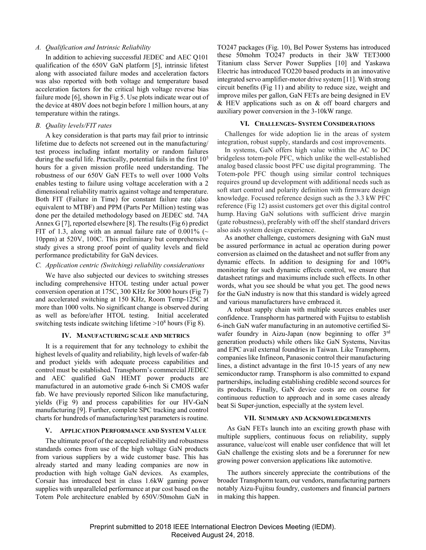# *A. Qualification and Intrinsic Reliability*

In addition to achieving successful JEDEC and AEC Q101 qualification of the 650V GaN platform [5], intrinsic lifetest along with associated failure modes and acceleration factors was also reported with both voltage and temperature based acceleration factors for the critical high voltage reverse bias failure mode [6], shown in Fig 5. Use plots indicate wear out of the device at 480V does not begin before 1 million hours, at any temperature within the ratings.

# *B. Quality levels/FIT rates*

A key consideration is that parts may fail prior to intrinsic lifetime due to defects not screened out in the manufacturing/ test process including infant mortality or random failures during the useful life. Practically, potential fails in the first  $10<sup>5</sup>$ hours for a given mission profile need understanding. The robustness of our 650V GaN FETs to well over 1000 Volts enables testing to failure using voltage acceleration with a 2 dimensional reliability matrix against voltage and temperature. Both FIT (Failure in Time) for constant failure rate (also equivalent to MTBF) and PPM (Parts Per Million) testing was done per the detailed methodology based on JEDEC std. 74A Annex G [7], reported elsewhere [8]. The results (Fig 6) predict FIT of 1.3, along with an annual failure rate of 0.001% ( $\sim$ 10ppm) at 520V, 100C. This preliminary but comprehensive study gives a strong proof point of quality levels and field performance predictability for GaN devices.

# *C. Application centric (Switching) reliability considerations*

We have also subjected our devices to switching stresses including comprehensive HTOL testing under actual power conversion operation at 175C, 300 KHz for 3000 hours (Fig 7) and accelerated switching at 150 KHz, Room Temp-125C at more than 1000 volts. No significant change is observed during as well as before/after HTOL testing. Initial accelerated switching tests indicate switching lifetime >108 hours (Fig 8).

# **IV. MANUFACTURING SCALE AND METRICS**

It is a requirement that for any technology to exhibit the highest levels of quality and reliability, high levels of wafer-fab and product yields with adequate process capabilities and control must be established. Transphorm's commercial JEDEC and AEC qualified GaN HEMT power products are manufactured in an automotive grade 6-inch Si CMOS wafer fab. We have previously reported Silicon like manufacturing, yields (Fig 9) and process capabilities for our HV-GaN manufacturing [9]. Further, complete SPC tracking and control charts for hundreds of manufacturing/test parameters is routine.

# **V. APPLICATION PERFORMANCE AND SYSTEM VALUE**

The ultimate proof of the accepted reliability and robustness standards comes from use of the high voltage GaN products from various suppliers by a wide customer base. This has already started and many leading companies are now in production with high voltage GaN devices. As examples, Corsair has introduced best in class 1.6kW gaming power supplies with unparalleled performance at par cost based on the Totem Pole architecture enabled by 650V/50mohm GaN in TO247 packages (Fig. 10), Bel Power Systems has introduced these 50mohm TO247 products in their 3kW TET3000 Titanium class Server Power Supplies [10] and Yaskawa Electric has introduced TO220 based products in an innovative integrated servo amplifier-motor drive system [11]. With strong circuit benefits (Fig 11) and ability to reduce size, weight and improve miles per gallon, GaN FETs are being designed in EV  $&$  HEV applications such as on  $&$  off board chargers and auxiliary power conversion in the 3-10kW range.

#### **VI. CHALLENGES- SYSTEM CONSIDERATIONS**

Challenges for wide adoption lie in the areas of system integration, robust supply, standards and cost improvements.

In systems, GaN offers high value within the AC to DC bridgeless totem-pole PFC, which unlike the well-established analog based classic boost PFC use digital programming. The Totem-pole PFC though using similar control techniques requires ground up development with additional needs such as soft start control and polarity definition with firmware design knowledge. Focused reference design such as the 3.3 kW PFC reference (Fig 12) assist customers get over this digital control hump. Having GaN solutions with sufficient drive margin (gate robustness), preferably with off the shelf standard drivers also aids system design experience.

As another challenge, customers designing with GaN must be assured performance in actual ac operation during power conversion as claimed on the datasheet and not suffer from any dynamic effects. In addition to designing for and 100% monitoring for such dynamic effects control, we ensure that datasheet ratings and maximums include such effects. In other words, what you see should be what you get. The good news for the GaN industry is now that this standard is widely agreed and various manufacturers have embraced it.

A robust supply chain with multiple sources enables user confidence. Transphorm has partnered with Fujitsu to establish 6-inch GaN wafer manufacturing in an automotive certified Siwafer foundry in Aizu-Japan (now beginning to offer 3rd generation products) while others like GaN Systems, Navitas and EPC avail external foundries in Taiwan. Like Transphorm, companies like Infineon, Panasonic control their manufacturing lines, a distinct advantage in the first 10-15 years of any new semiconductor ramp. Transphorm is also committed to expand partnerships, including establishing credible second sources for its products. Finally, GaN device costs are on course for continuous reduction to approach and in some cases already beat Si Super-junction, especially at the system level.

### **VII. SUMMARY AND ACKNOWLEDGEMENTS**

As GaN FETs launch into an exciting growth phase with multiple suppliers, continuous focus on reliability, supply assurance, value/cost will enable user confidence that will let GaN challenge the existing slots and be a forerunner for new growing power conversion applications like automotive.

The authors sincerely appreciate the contributions of the broader Transphorm team, our vendors, manufacturing partners notably Aizu-Fujitsu foundry, customers and financial partners in making this happen.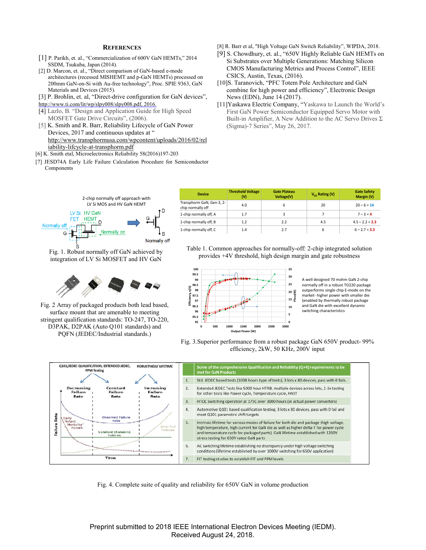#### **REFERENCES**

- [1] P. Parikh, et. al., "Commercialization of 600V GaN HEMTs," 2014 SSDM, Tsukuba, Japan (2014).
- [2] D. Marcon, et. al., "Direct comparison of GaN-based e-mode architectures (recessed MISHEMT and p-GaN HEMTs) processed on 200mm GaN-on-Si with Au-free technology", Proc. SPIE 9363, GaN Materials and Devices (2015).
- [3] P. Brohlin, et. al, "Direct-drive configuration for GaN devices",
- http://www.ti.com/lit/wp/slpy008/slpy008.pdf, 2016.
- [4] Lazlo, B. "Design and Application Guide for High Speed MOSFET Gate Drive Circuits", (2006).
- [5] K. Smith and R. Barr, Reliability Lifecycle of GaN Power Devices, 2017 and continuous updates at " http://www.transphormusa.com/wpcontent/uploads/2016/02/rel iability-lifcycle-at-transphorm.pdf
- [6] K. Smith etal, Microelectronics Reliability 58(2016)197-203
- [7] JESD74A Early Life Failure Calculation Procedure for Semiconductor Components
- [8] R. Barr et al, "High Voltage GaN Switch Reliability", WIPDA, 2018.
- [9] S. Chowdhury, et. al., "650V Highly Reliable GaN HEMTs on Si Substrates over Multiple Generations: Matching Silicon CMOS Manufacturing Metrics and Process Control", IEEE CSICS, Austin, Texas, (2016).
- [10]S. Taranovich, "PFC Totem Pole Architecture and GaN combine for high power and efficiency", Electronic Design News (EDN), June 14 (2017).
- [11]Yaskawa Electric Company, "Yaskawa to Launch the World's First GaN Power Semiconductor Equipped Servo Motor with Built-in Amplifier, A New Addition to the AC Servo Drives Σ (Sigma)-7 Series", May 26, 2017.



Fig. 1. Robust normally off GaN achieved by integration of LV Si MOSFET and HV GaN



Fig. 2 Array of packaged products both lead based, surface mount that are amenable to meeting stringent qualification standards: TO-247, TO-220, D3PAK, D2PAK (Auto Q101 standards) and PQFN (JEDEC/Industrial standards.)

| <b>Device</b>                                  | <b>Threshold Voltage</b><br>(V) | <b>Gate Plateau</b><br>Voltage(V) | $V_{cs}$ Rating (V) | <b>Gate Safety</b><br>Margin (V) |
|------------------------------------------------|---------------------------------|-----------------------------------|---------------------|----------------------------------|
| Transphorm GaN, Gen-3, 2-<br>chip normally off | 4.0                             | 6                                 | 20                  | $20 - 6 = 14$                    |
| 1-chip normally off, A                         | 1.7                             |                                   |                     | $7 - 3 = 4$                      |
| 1-chip normally off, B                         | 1.2                             | 2.2                               | 4.5                 | $4.5 - 2.2 = 2.3$                |
| 1-chip normally off, C                         | 1.4                             | 2.7                               | 6                   | $6 - 2.7 = 3.3$                  |

Table 1. Common approaches for normally-off: 2-chip integrated solution provides +4V threshold, high design margin and gate robustness



A well designed 70 mohm GaN 2-chip normally off in a robust TO220 package outperforms single chip E-mode on the market- higher power with smaller die (enabled by thermally robust package and GaN die with excellent dynamic switching characteristics





Fig. 4. Complete suite of quality and reliability for 650V GaN in volume production

Preprint submitted to 2018 IEEE International Electron Devices Meeting (IEDM). Received August 24, 2018.